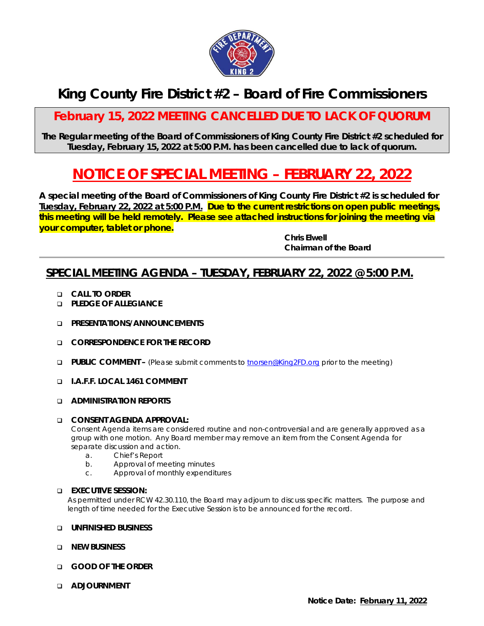

## **King County Fire District #2 – Board of Fire Commissioners**

## **February 15, 2022 MEETING CANCELLED DUE TO LACK OF QUORUM**

**The Regular meeting of the Board of Commissioners of King County Fire District #2 scheduled for Tuesday, February 15, 2022 at 5:00 P.M. has been cancelled due to lack of quorum.**

# **NOTICE OF SPECIAL MEETING – FEBRUARY 22, 2022**

**A special meeting of the Board of Commissioners of King County Fire District #2 is scheduled for Tuesday, February 22, 2022 at 5:00 P.M. Due to the current restrictions on open public meetings, this meeting will be held remotely. Please see attached instructions for joining the meeting via your computer, tablet or phone.**

> *Chris Elwell Chairman of the Board*

### **SPECIAL MEETING AGENDA – TUESDAY, FEBRUARY 22, 2022 @ 5:00 P.M.**

- **CALL TO ORDER**
- **PLEDGE OF ALLEGIANCE**
- **PRESENTATIONS/ANNOUNCEMENTS**
- **CORRESPONDENCE FOR THE RECORD**
- **PUBLIC COMMENT –** (Please submit comments to [tnorsen@King2FD.org](mailto:tnorsen@King2FD.org) prior to the meeting)
- **I.A.F.F. LOCAL 1461 COMMENT**
- **ADMINISTRATION REPORTS**

#### **CONSENT AGENDA APPROVAL:**

*Consent Agenda items are considered routine and non-controversial and are generally approved as a group with one motion. Any Board member may remove an item from the Consent Agenda for separate discussion and action.*

- a. Chief's Report
- b. Approval of meeting minutes
- c. Approval of monthly expenditures

#### **EXECUTIVE SESSION:**

*As permitted under RCW 42.30.110, the Board may adjourn to discuss specific matters. The purpose and length of time needed for the Executive Session is to be announced for the record.*

#### **UNFINISHED BUSINESS**

- **NEW BUSINESS**
- **GOOD OF THE ORDER**
- **ADJOURNMENT**